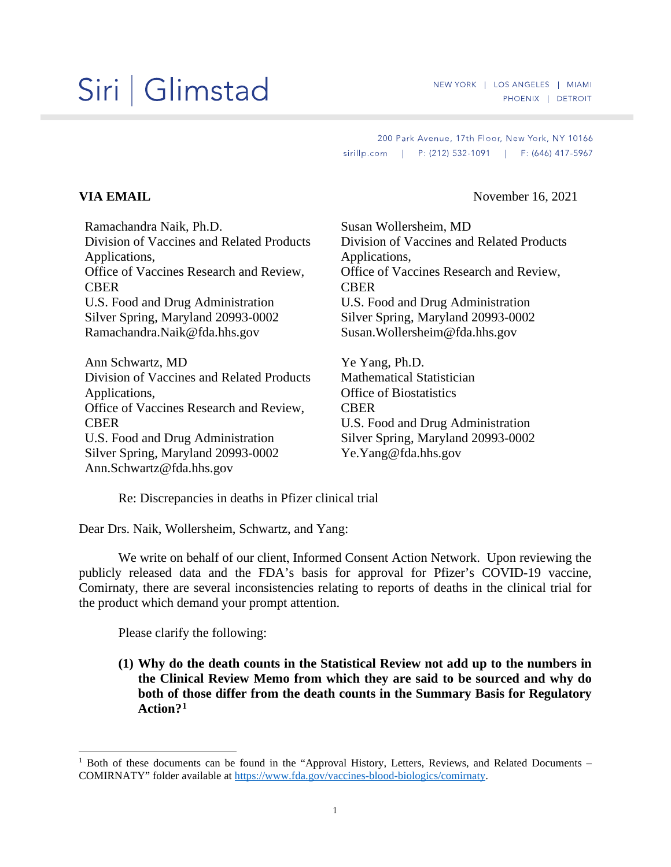## Siri | Glimstad

NEW YORK | LOS ANGELES | MIAMI PHOENIX | DETROIT

200 Park Avenue, 17th Floor, New York, NY 10166 sirillp.com | P: (212) 532-1091 | F: (646) 417-5967

**VIA EMAIL** November 16, 2021

| Ramachandra Naik, Ph.D.                   |
|-------------------------------------------|
| Division of Vaccines and Related Products |
| Applications,                             |
| Office of Vaccines Research and Review,   |
| <b>CBER</b>                               |
| U.S. Food and Drug Administration         |
| Silver Spring, Maryland 20993-0002        |
| Ramachandra.Naik@fda.hhs.gov              |
|                                           |

Ann Schwartz, MD Division of Vaccines and Related Products Applications, Office of Vaccines Research and Review, **CBER** U.S. Food and Drug Administration Silver Spring, Maryland 20993-0002 Ann.Schwartz@fda.hhs.gov

Susan Wollersheim, MD Division of Vaccines and Related Products Applications, Office of Vaccines Research and Review, CBER U.S. Food and Drug Administration Silver Spring, Maryland 20993-0002 Susan.Wollersheim@fda.hhs.gov

Ye Yang, Ph.D. Mathematical Statistician Office of Biostatistics CBER U.S. Food and Drug Administration Silver Spring, Maryland 20993-0002 Ye.Yang@fda.hhs.gov

Re: Discrepancies in deaths in Pfizer clinical trial

Dear Drs. Naik, Wollersheim, Schwartz, and Yang:

We write on behalf of our client, Informed Consent Action Network. Upon reviewing the publicly released data and the FDA's basis for approval for Pfizer's COVID-19 vaccine, Comirnaty, there are several inconsistencies relating to reports of deaths in the clinical trial for the product which demand your prompt attention.

Please clarify the following:

**(1) Why do the death counts in the Statistical Review not add up to the numbers in the Clinical Review Memo from which they are said to be sourced and why do both of those differ from the death counts in the Summary Basis for Regulatory Action?[1](#page-0-0)**

<span id="page-0-0"></span><sup>&</sup>lt;sup>1</sup> Both of these documents can be found in the "Approval History, Letters, Reviews, and Related Documents – COMIRNATY" folder available at [https://www.fda.gov/vaccines-blood-biologics/comirnaty.](https://www.fda.gov/vaccines-blood-biologics/comirnaty)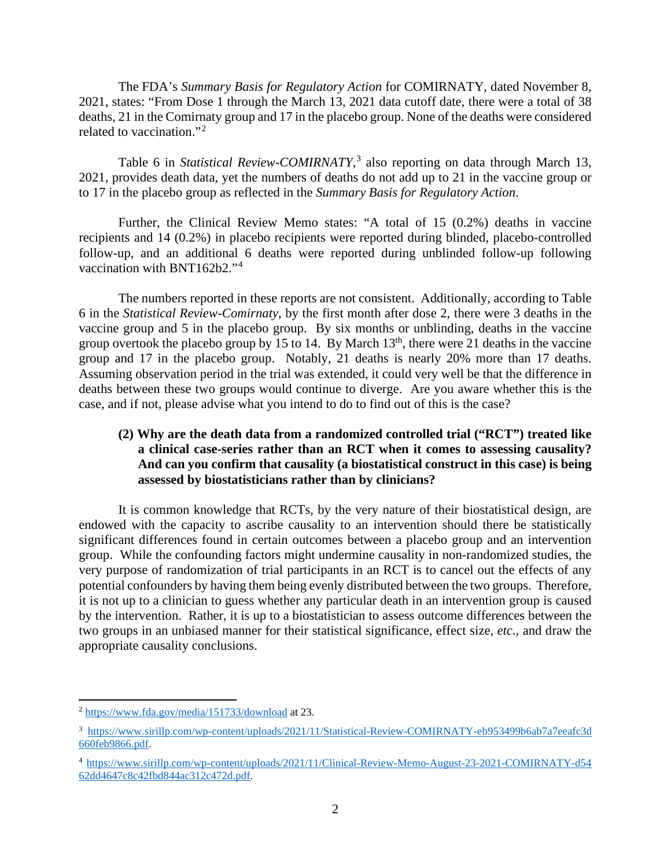The FDA's *Summary Basis for Regulatory Action* for COMIRNATY, dated November 8, 2021, states: "From Dose 1 through the March 13, 2021 data cutoff date, there were a total of 38 deaths, 21 in the Comirnaty group and 17 in the placebo group. None of the deaths were considered related to vaccination."[2](#page-1-0)

Table 6 in *Statistical Review-COMIRNATY*, [3](#page-1-1) also reporting on data through March 13, 2021, provides death data, yet the numbers of deaths do not add up to 21 in the vaccine group or to 17 in the placebo group as reflected in the *Summary Basis for Regulatory Action*.

Further, the Clinical Review Memo states: "A total of 15 (0.2%) deaths in vaccine recipients and 14 (0.2%) in placebo recipients were reported during blinded, placebo-controlled follow-up, and an additional 6 deaths were reported during unblinded follow-up following vaccination with BNT162b2."<sup>[4](#page-1-2)</sup>

The numbers reported in these reports are not consistent. Additionally, according to Table 6 in the *Statistical Review-Comirnaty*, by the first month after dose 2, there were 3 deaths in the vaccine group and 5 in the placebo group. By six months or unblinding, deaths in the vaccine group overtook the placebo group by 15 to 14. By March  $13<sup>th</sup>$ , there were 21 deaths in the vaccine group and 17 in the placebo group. Notably, 21 deaths is nearly 20% more than 17 deaths. Assuming observation period in the trial was extended, it could very well be that the difference in deaths between these two groups would continue to diverge. Are you aware whether this is the case, and if not, please advise what you intend to do to find out of this is the case?

## **(2) Why are the death data from a randomized controlled trial ("RCT") treated like a clinical case-series rather than an RCT when it comes to assessing causality? And can you confirm that causality (a biostatistical construct in this case) is being assessed by biostatisticians rather than by clinicians?**

It is common knowledge that RCTs, by the very nature of their biostatistical design, are endowed with the capacity to ascribe causality to an intervention should there be statistically significant differences found in certain outcomes between a placebo group and an intervention group. While the confounding factors might undermine causality in non-randomized studies, the very purpose of randomization of trial participants in an RCT is to cancel out the effects of any potential confounders by having them being evenly distributed between the two groups. Therefore, it is not up to a clinician to guess whether any particular death in an intervention group is caused by the intervention. Rather, it is up to a biostatistician to assess outcome differences between the two groups in an unbiased manner for their statistical significance, effect size, *etc*., and draw the appropriate causality conclusions.

<span id="page-1-0"></span><sup>2</sup> <https://www.fda.gov/media/151733/download> at 23.

<span id="page-1-1"></span><sup>3</sup> [https://www.sirillp.com/wp-content/uploads/2021/11/Statistical-Review-COMIRNATY-eb953499b6ab7a7eeafc3d](https://www.sirillp.com/wp-content/uploads/2021/11/Statistical-Review-COMIRNATY-eb953499b6ab7a7%E2%80%8Ceeafc3d%E2%80%8C660%E2%80%8Cfeb9866.pdf) [660feb9866.pdf.](https://www.sirillp.com/wp-content/uploads/2021/11/Statistical-Review-COMIRNATY-eb953499b6ab7a7%E2%80%8Ceeafc3d%E2%80%8C660%E2%80%8Cfeb9866.pdf)

<span id="page-1-2"></span><sup>4</sup> [https://www.sirillp.com/wp-content/uploads/2021/11/Clinical-Review-Memo-August-23-2021-COMIRNATY-d54](https://www.sirillp.com/wp-content/uploads/2021/11/Clinical-Review-Memo-August-23-2021-COMIRNATY-d54%E2%80%8C62dd4647c8c42fbd844ac312c472d.pdf) [62dd4647c8c42fbd844ac312c472d.pdf.](https://www.sirillp.com/wp-content/uploads/2021/11/Clinical-Review-Memo-August-23-2021-COMIRNATY-d54%E2%80%8C62dd4647c8c42fbd844ac312c472d.pdf)